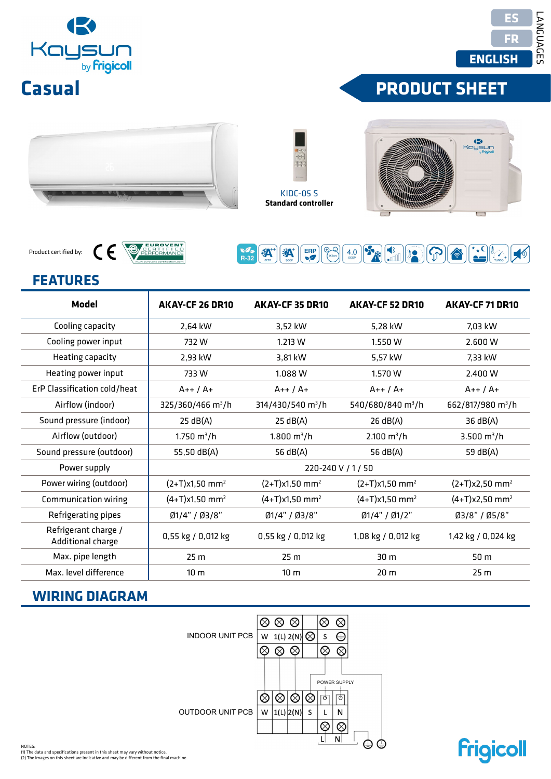# OUTDOOR UNIT PCB

| <b>FEATURES</b>                           |                                                   |                                                                                                                                                                                                   |                                       |                               |  |  |
|-------------------------------------------|---------------------------------------------------|---------------------------------------------------------------------------------------------------------------------------------------------------------------------------------------------------|---------------------------------------|-------------------------------|--|--|
| <b>Model</b>                              | AKAY-CF 26 DR10                                   | <b>AKAY-CF 35 DR10</b>                                                                                                                                                                            | <b>AKAY-CF 52 DR10</b>                | AKAY-CF 71 DR10               |  |  |
| Cooling capacity                          | 2,64 kW                                           | 3,52 kW                                                                                                                                                                                           | 5,28 kW                               | 7,03 kW                       |  |  |
| Cooling power input                       | 732W                                              | 1.213 W                                                                                                                                                                                           | 1.550W                                | 2.600 W                       |  |  |
| Heating capacity                          | 2,93 kW                                           | 3,81 kW                                                                                                                                                                                           | 5,57 kW                               | 7,33 kW                       |  |  |
| Heating power input                       | 733W                                              | 1.088 W                                                                                                                                                                                           | 1.570 W                               | 2.400 W                       |  |  |
| ErP Classification cold/heat              | $A++/A+$                                          | $A++/A+$                                                                                                                                                                                          | $A++/A+$                              | $A++/A+$                      |  |  |
| Airflow (indoor)                          | 325/360/466 m <sup>3</sup> /h                     | 314/430/540 m <sup>3</sup> /h                                                                                                                                                                     | 540/680/840 m <sup>3</sup> /h         | 662/817/980 m <sup>3</sup> /h |  |  |
| Sound pressure (indoor)                   | 25 dB(A)                                          | 25 dB(A)                                                                                                                                                                                          | 26 dB(A)                              | 36 dB(A)                      |  |  |
| Airflow (outdoor)                         | $1.750 \text{ m}^3/h$                             | $1.800 \text{ m}^3/h$                                                                                                                                                                             | $2.100 \text{ m}^3/h$                 | 3.500 $m^3/h$                 |  |  |
| Sound pressure (outdoor)                  | 55,50 dB(A)                                       | 56 dB(A)                                                                                                                                                                                          | 56 dB(A)                              | 59 dB(A)                      |  |  |
| Power supply                              | 220-240 V / 1 / 50                                |                                                                                                                                                                                                   |                                       |                               |  |  |
| Power wiring (outdoor)                    | $(2+T)x1,50$ mm <sup>2</sup>                      | $(2+T)x1,50$ mm <sup>2</sup>                                                                                                                                                                      | $(2+T)x1,50$ mm <sup>2</sup>          | $(2+T)x2,50$ mm <sup>2</sup>  |  |  |
| Communication wiring                      | $(4+T)x1,50$ mm <sup>2</sup>                      | $(4+T)x1,50$ mm <sup>2</sup>                                                                                                                                                                      | $(4+T)x1,50$ mm <sup>2</sup>          | $(4+T)x2,50$ mm <sup>2</sup>  |  |  |
| Refrigerating pipes                       | Ø1/4" / Ø3/8"                                     | Ø1/4" / Ø3/8"                                                                                                                                                                                     | Ø1/4" / Ø1/2"                         | Ø3/8" / Ø5/8"                 |  |  |
| Refrigerant charge /<br>Additional charge | 0,55 kg / 0,012 kg                                | 0,55 kg / 0,012 kg                                                                                                                                                                                | 1,08 kg / 0,012 kg                    | 1,42 kg / 0,024 kg            |  |  |
| Max. pipe length                          | 25 <sub>m</sub>                                   | 25 <sub>m</sub>                                                                                                                                                                                   | 30 m                                  | 50 m                          |  |  |
| Max. level difference                     | 10 <sub>m</sub>                                   | 10 <sub>m</sub>                                                                                                                                                                                   | 20 <sub>m</sub>                       | 25 <sub>m</sub>               |  |  |
| <b>WIRING DIAGRAM</b>                     |                                                   |                                                                                                                                                                                                   |                                       |                               |  |  |
|                                           | <b>INDOOR UNIT PCB</b><br><b>OUTDOOR UNIT PCB</b> | $\otimes$<br>$\otimes$<br>$\otimes$<br>⊗<br>W 1(L) 2(N) $\bigotimes$<br>S<br>$\otimes$ $\otimes$<br>$\otimes$<br>⊗<br>POWER SUPPLY<br>⊗<br>$\otimes$<br>⊗<br> ⊗<br>ार्का<br> 1(L) 2(N) <br>S<br>w | $\otimes$<br>⊜<br>$\otimes$<br>ा<br>N |                               |  |  |

¥A\*\* **EXA**  ERP

 $\overline{4.0}$ 

 $\overline{\mathcal{P}_{\kappa\text{-ion}}}$ 

 $\oplus$ 

**Frigicoll** 

 $\overline{\otimes}$  $\overline{\circ}$ 

 $\overline{\mathsf{L}}$  $N$ 

## $$

 $C \in$ 

Product certified by:



EUROVENT



 $\begin{picture}(40,10) \put(0,0){\line(1,0){10}} \put(15,0){\line(1,0){10}} \put(15,0){\line(1,0){10}} \put(15,0){\line(1,0){10}} \put(15,0){\line(1,0){10}} \put(15,0){\line(1,0){10}} \put(15,0){\line(1,0){10}} \put(15,0){\line(1,0){10}} \put(15,0){\line(1,0){10}} \put(15,0){\line(1,0){10}} \put(15,0){\line(1,0){10}} \put(15,0){\line(1$ 





**ENGLISH EN FR** 

**ES**

**ES** 

LANGUAGES

**LANGUAGES** 

LANGUES

IDIOMAS